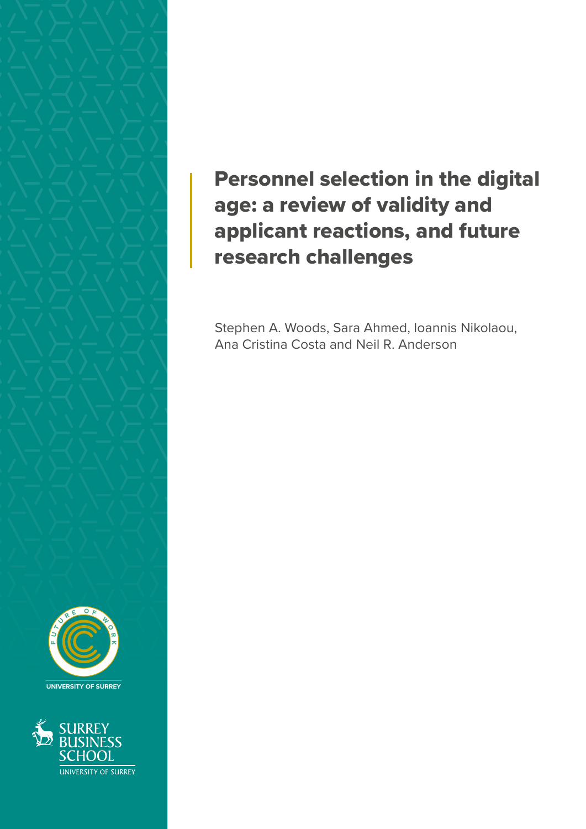

Personnel selection in the digital age: a review of validity and applicant reactions, and future research challenges

Stephen A. Woods, Sara Ahmed, Ioannis Nikolaou, Ana Cristina Costa and Neil R. Anderson



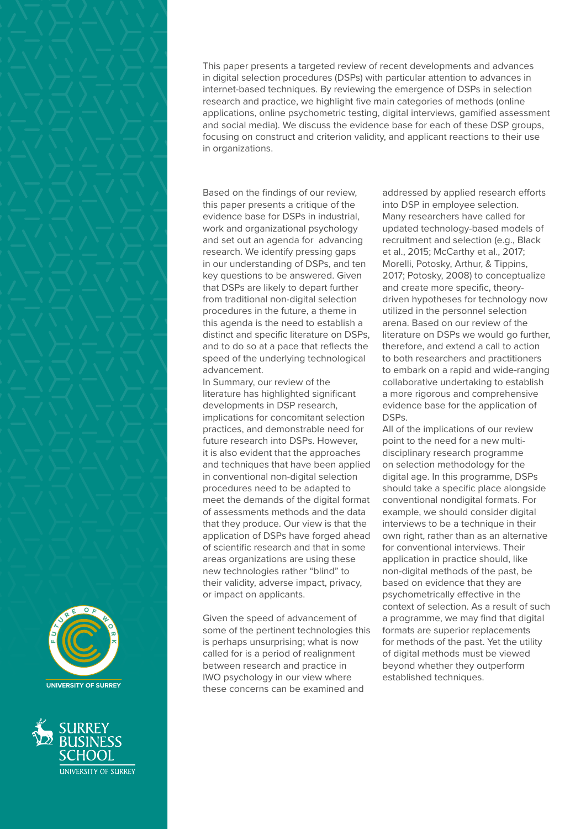





This paper presents a targeted review of recent developments and advances in digital selection procedures (DSPs) with particular attention to advances in internet-based techniques. By reviewing the emergence of DSPs in selection research and practice, we highlight five main categories of methods (online applications, online psychometric testing, digital interviews, gamified assessment and social media). We discuss the evidence base for each of these DSP groups, focusing on construct and criterion validity, and applicant reactions to their use in organizations.

Based on the findings of our review, this paper presents a critique of the evidence base for DSPs in industrial, work and organizational psychology and set out an agenda for advancing research. We identify pressing gaps in our understanding of DSPs, and ten key questions to be answered. Given that DSPs are likely to depart further from traditional non-digital selection procedures in the future, a theme in this agenda is the need to establish a distinct and specific literature on DSPs, and to do so at a pace that reflects the speed of the underlying technological advancement.

In Summary, our review of the literature has highlighted significant developments in DSP research, implications for concomitant selection practices, and demonstrable need for future research into DSPs. However, it is also evident that the approaches and techniques that have been applied in conventional non-digital selection procedures need to be adapted to meet the demands of the digital format of assessments methods and the data that they produce. Our view is that the application of DSPs have forged ahead of scientific research and that in some areas organizations are using these new technologies rather "blind" to their validity, adverse impact, privacy, or impact on applicants.

Given the speed of advancement of some of the pertinent technologies this is perhaps unsurprising; what is now called for is a period of realignment between research and practice in IWO psychology in our view where these concerns can be examined and

addressed by applied research efforts into DSP in employee selection. Many researchers have called for updated technology-based models of recruitment and selection (e.g., Black et al., 2015; McCarthy et al., 2017; Morelli, Potosky, Arthur, & Tippins, 2017; Potosky, 2008) to conceptualize and create more specific, theorydriven hypotheses for technology now utilized in the personnel selection arena. Based on our review of the literature on DSPs we would go further, therefore, and extend a call to action to both researchers and practitioners to embark on a rapid and wide-ranging collaborative undertaking to establish a more rigorous and comprehensive evidence base for the application of DSPs.

All of the implications of our review point to the need for a new multidisciplinary research programme on selection methodology for the digital age. In this programme, DSPs should take a specific place alongside conventional nondigital formats. For example, we should consider digital interviews to be a technique in their own right, rather than as an alternative for conventional interviews. Their application in practice should, like non-digital methods of the past, be based on evidence that they are psychometrically effective in the context of selection. As a result of such a programme, we may find that digital formats are superior replacements for methods of the past. Yet the utility of digital methods must be viewed beyond whether they outperform established techniques.